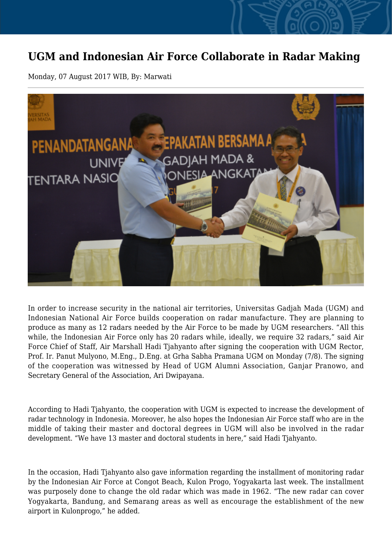## **UGM and Indonesian Air Force Collaborate in Radar Making**

Monday, 07 August 2017 WIB, By: Marwati



In order to increase security in the national air territories, Universitas Gadjah Mada (UGM) and Indonesian National Air Force builds cooperation on radar manufacture. They are planning to produce as many as 12 radars needed by the Air Force to be made by UGM researchers. "All this while, the Indonesian Air Force only has 20 radars while, ideally, we require 32 radars," said Air Force Chief of Staff, Air Marshall Hadi Tjahyanto after signing the cooperation with UGM Rector, Prof. Ir. Panut Mulyono, M.Eng., D.Eng. at Grha Sabha Pramana UGM on Monday (7/8). The signing of the cooperation was witnessed by Head of UGM Alumni Association, Ganjar Pranowo, and Secretary General of the Association, Ari Dwipayana.

According to Hadi Tjahyanto, the cooperation with UGM is expected to increase the development of radar technology in Indonesia. Moreover, he also hopes the Indonesian Air Force staff who are in the middle of taking their master and doctoral degrees in UGM will also be involved in the radar development. "We have 13 master and doctoral students in here," said Hadi Tjahyanto.

In the occasion, Hadi Tjahyanto also gave information regarding the installment of monitoring radar by the Indonesian Air Force at Congot Beach, Kulon Progo, Yogyakarta last week. The installment was purposely done to change the old radar which was made in 1962. "The new radar can cover Yogyakarta, Bandung, and Semarang areas as well as encourage the establishment of the new airport in Kulonprogo," he added.